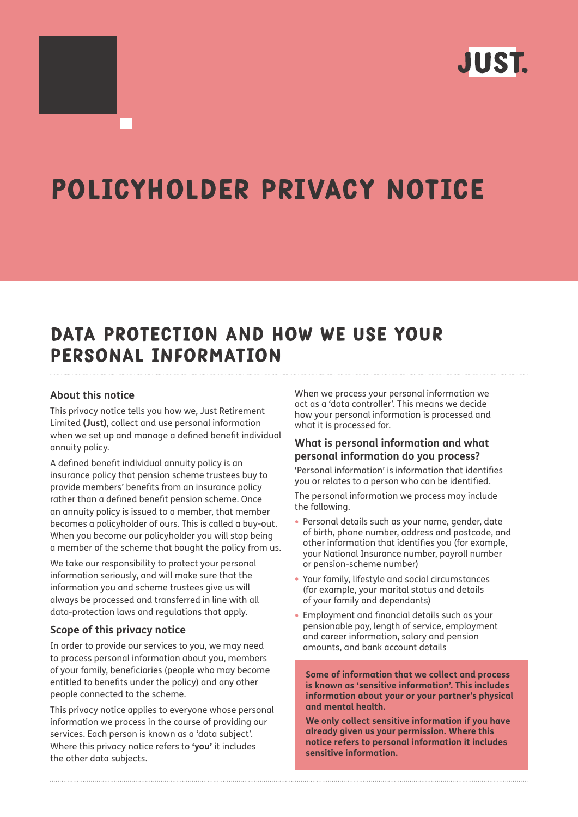

# Policyholder privacy notice

# Data protection and how we use your personal information

# **About this notice**

This privacy notice tells you how we, Just Retirement Limited **(Just)**, collect and use personal information when we set up and manage a defined benefit individual annuity policy.

A defined benefit individual annuity policy is an insurance policy that pension scheme trustees buy to provide members' benefits from an insurance policy rather than a defined benefit pension scheme. Once an annuity policy is issued to a member, that member becomes a policyholder of ours. This is called a buy-out. When you become our policyholder you will stop being a member of the scheme that bought the policy from us.

We take our responsibility to protect your personal information seriously, and will make sure that the information you and scheme trustees give us will always be processed and transferred in line with all data-protection laws and regulations that apply.

#### **Scope of this privacy notice**

In order to provide our services to you, we may need to process personal information about you, members of your family, beneficiaries (people who may become entitled to benefits under the policy) and any other people connected to the scheme.

This privacy notice applies to everyone whose personal information we process in the course of providing our services. Each person is known as a 'data subject'. Where this privacy notice refers to **'you'** it includes the other data subjects.

When we process your personal information we act as a 'data controller'. This means we decide how your personal information is processed and what it is processed for.

# **What is personal information and what personal information do you process?**

'Personal information' is information that identifies you or relates to a person who can be identified.

The personal information we process may include the following.

- Personal details such as your name, gender, date of birth, phone number, address and postcode, and other information that identifies you (for example, your National Insurance number, payroll number or pension-scheme number)
- Your family, lifestyle and social circumstances (for example, your marital status and details of your family and dependants)
- Employment and financial details such as your pensionable pay, length of service, employment and career information, salary and pension amounts, and bank account details

**Some of information that we collect and process is known as 'sensitive information'. This includes information about your or your partner's physical and mental health.** 

**We only collect sensitive information if you have already given us your permission. Where this notice refers to personal information it includes sensitive information.**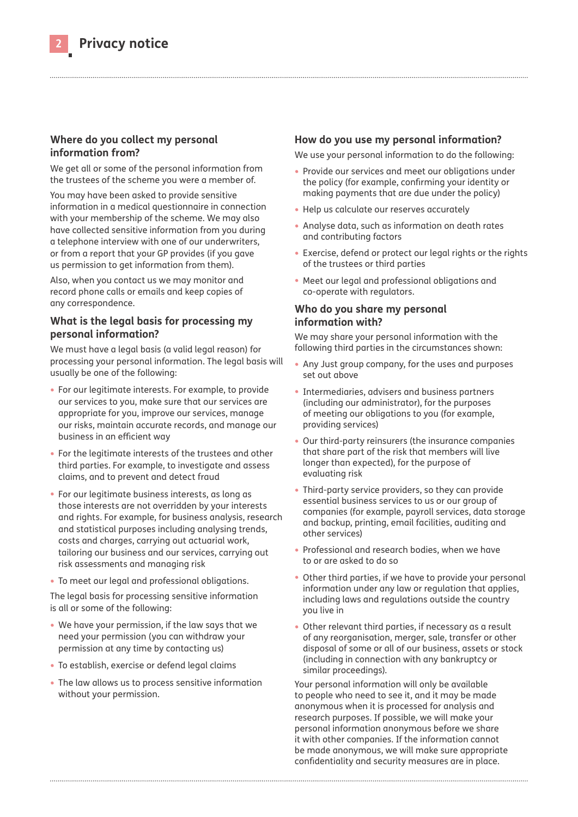## **Where do you collect my personal information from?**

We get all or some of the personal information from the trustees of the scheme you were a member of.

You may have been asked to provide sensitive information in a medical questionnaire in connection with your membership of the scheme. We may also have collected sensitive information from you during a telephone interview with one of our underwriters, or from a report that your GP provides (if you gave us permission to get information from them).

Also, when you contact us we may monitor and record phone calls or emails and keep copies of any correspondence.

# **What is the legal basis for processing my personal information?**

We must have a legal basis (a valid legal reason) for processing your personal information. The legal basis will usually be one of the following:

- For our legitimate interests. For example, to provide our services to you, make sure that our services are appropriate for you, improve our services, manage our risks, maintain accurate records, and manage our business in an efficient way
- For the legitimate interests of the trustees and other third parties. For example, to investigate and assess claims, and to prevent and detect fraud
- For our legitimate business interests, as long as those interests are not overridden by your interests and rights. For example, for business analysis, research and statistical purposes including analysing trends, costs and charges, carrying out actuarial work, tailoring our business and our services, carrying out risk assessments and managing risk
- To meet our legal and professional obligations.

The legal basis for processing sensitive information is all or some of the following:

- We have your permission, if the law says that we need your permission (you can withdraw your permission at any time by contacting us)
- To establish, exercise or defend legal claims
- The law allows us to process sensitive information without your permission.

# **How do you use my personal information?**

We use your personal information to do the following:

- Provide our services and meet our obligations under the policy (for example, confirming your identity or making payments that are due under the policy)
- Help us calculate our reserves accurately
- Analyse data, such as information on death rates and contributing factors
- Exercise, defend or protect our legal rights or the rights of the trustees or third parties
- Meet our legal and professional obligations and co-operate with regulators.

# **Who do you share my personal information with?**

We may share your personal information with the following third parties in the circumstances shown:

- Any Just group company, for the uses and purposes set out above
- Intermediaries, advisers and business partners (including our administrator), for the purposes of meeting our obligations to you (for example, providing services)
- Our third-party reinsurers (the insurance companies that share part of the risk that members will live longer than expected), for the purpose of evaluating risk
- Third-party service providers, so they can provide essential business services to us or our group of companies (for example, payroll services, data storage and backup, printing, email facilities, auditing and other services)
- Professional and research bodies, when we have to or are asked to do so
- Other third parties, if we have to provide your personal information under any law or regulation that applies, including laws and regulations outside the country you live in
- Other relevant third parties, if necessary as a result of any reorganisation, merger, sale, transfer or other disposal of some or all of our business, assets or stock (including in connection with any bankruptcy or similar proceedings).

Your personal information will only be available to people who need to see it, and it may be made anonymous when it is processed for analysis and research purposes. If possible, we will make your personal information anonymous before we share it with other companies. If the information cannot be made anonymous, we will make sure appropriate confidentiality and security measures are in place.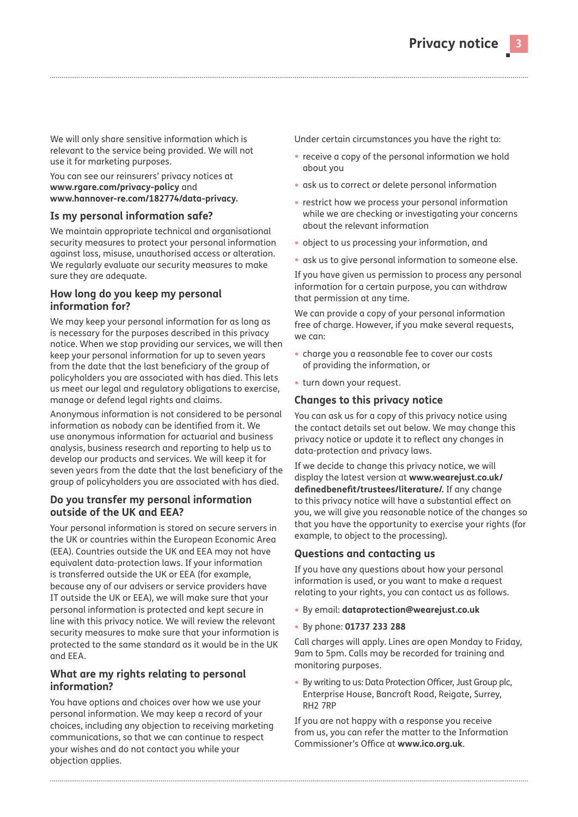We will only share sensitive information which is relevant to the service being provided. We will not use it for marketing purposes.

#### You can see our reinsurers' privacy notices at **[www.rgare.com/privacy-policy](http://www.rgare.com/privacy-policy)** and **[www.hannover-re.com/182774/data-privacy.](http://www.rgare.com/privacy-policy)**

#### **Is my personal information safe?**

We maintain appropriate technical and organisational security measures to protect your personal information against loss, misuse, unauthorised access or alteration. We regularly evaluate our security measures to make sure they are adequate.

# **How long do you keep my personal information for?**

We may keep your personal information for as long as is necessary for the purposes described in this privacy notice. When we stop providing our services, we will then keep your personal information for up to seven years from the date that the last beneficiary of the group of policyholders you are associated with has died. This lets us meet our legal and regulatory obligations to exercise, manage or defend legal rights and claims.

Anonymous information is not considered to be personal information as nobody can be identified from it. We use anonymous information for actuarial and business analysis, business research and reporting to help us to develop our products and services. We will keep it for seven years from the date that the last beneficiary of the group of policyholders you are associated with has died.

# **Do you transfer my personal information outside of the UK and EEA?**

Your personal information is stored on secure servers in the UK or countries within the European Economic Area (EEA). Countries outside the UK and EEA may not have equivalent data-protection laws. If your information is transferred outside the UK or EEA (for example, because any of our advisers or service providers have IT outside the UK or EEA), we will make sure that your personal information is protected and kept secure in line with this privacy notice. We will review the relevant security measures to make sure that your information is protected to the same standard as it would be in the UK and EEA.

# **What are my rights relating to personal information?**

You have options and choices over how we use your personal information. We may keep a record of your choices, including any objection to receiving marketing communications, so that we can continue to respect your wishes and do not contact you while your objection applies.

Under certain circumstances you have the right to:

- receive a copy of the personal information we hold about you
- ask us to correct or delete personal information
- restrict how we process your personal information while we are checking or investigating your concerns about the relevant information
- object to us processing your information, and
- ask us to give personal information to someone else.

If you have given us permission to process any personal information for a certain purpose, you can withdraw that permission at any time.

We can provide a copy of your personal information free of charge. However, if you make several requests, we can:

- charge you a reasonable fee to cover our costs of providing the information, or
- turn down your request.

# **Changes to this privacy notice**

You can ask us for a copy of this privacy notice using the contact details set out below. We may change this privacy notice or update it to reflect any changes in data-protection and privacy laws.

If we decide to change this privacy notice, we will display the latest version at **[www.wearejust.co.uk/](http://www.wearejust.co.uk/definedbenefit/trustees/literature/) [definedbenefit/trustees/literature/](http://www.wearejust.co.uk/definedbenefit/trustees/literature/).** If any change to this privacy notice will have a substantial effect on you, we will give you reasonable notice of the changes so that you have the opportunity to exercise your rights (for example, to object to the processing).

# **Questions and contacting us**

If you have any questions about how your personal information is used, or you want to make a request relating to your rights, you can contact us as follows.

- By email: **dataprotection@wearejust.co.uk**
- By phone: **01737 233 288**

Call charges will apply. Lines are open Monday to Friday, 9am to 5pm. Calls may be recorded for training and monitoring purposes.

• By writing to us: Data Protection Officer, Just Group plc, Enterprise House, Bancroft Road, Reigate, Surrey, RH2 7RP

If you are not happy with a response you receive from us, you can refer the matter to the Information Commissioner's Office at **[www.ico.org.uk](http://www.ico.org.uk)**.